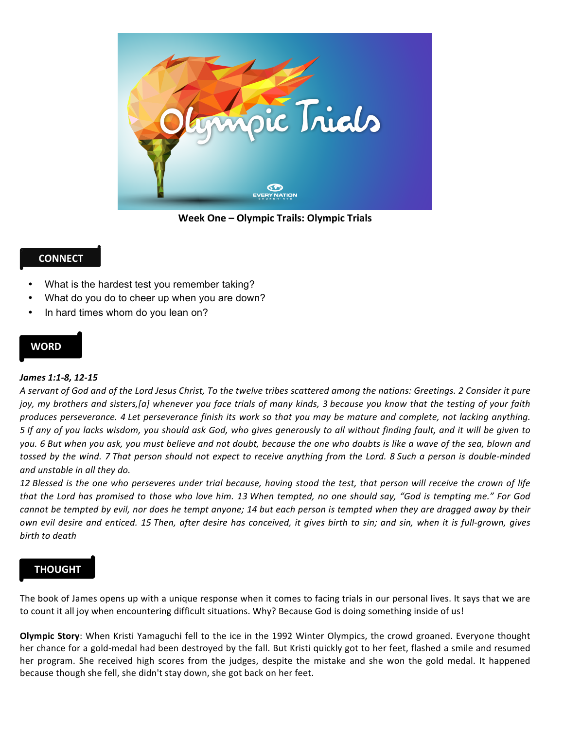

**Week One – Olympic Trails: Olympic Trials**

# **CONNECT**

- What is the hardest test you remember taking?
- What do you do to cheer up when you are down?
- In hard times whom do you lean on?

### **WORD**

### *James 1:1-8, 12-15*

*A servant of God and of the Lord Jesus Christ, To the twelve tribes scattered among the nations: Greetings. 2 Consider it pure*  joy, my brothers and sisters,[a] whenever you face trials of many kinds, 3 because you know that the testing of your faith produces perseverance. 4 Let perseverance finish its work so that you may be mature and complete, not lacking anything. *5* If any of you lacks wisdom, you should ask God, who gives generously to all without finding fault, and it will be given to you. 6 But when you ask, you must believe and not doubt, because the one who doubts is like a wave of the sea, blown and *tossed by the wind.* 7 That person should not expect to receive anything from the Lord. 8 Such a person is double-minded *and unstable in all they do.*

12 Blessed is the one who perseveres under trial because, having stood the test, that person will receive the crown of life that the Lord has promised to those who love him. 13 When tempted, no one should say, "God is tempting me." For God *cannot be tempted by evil, nor does he tempt anyone; 14 but each person is tempted when they are dragged away by their own* evil desire and enticed. 15 Then, after desire has conceived, it gives birth to sin; and sin, when it is full-grown, gives *birth to death*

## **THOUGHT**

The book of James opens up with a unique response when it comes to facing trials in our personal lives. It says that we are to count it all joy when encountering difficult situations. Why? Because God is doing something inside of us!

**Olympic Story**: When Kristi Yamaguchi fell to the ice in the 1992 Winter Olympics, the crowd groaned. Everyone thought her chance for a gold-medal had been destroyed by the fall. But Kristi quickly got to her feet, flashed a smile and resumed her program. She received high scores from the judges, despite the mistake and she won the gold medal. It happened because though she fell, she didn't stay down, she got back on her feet.